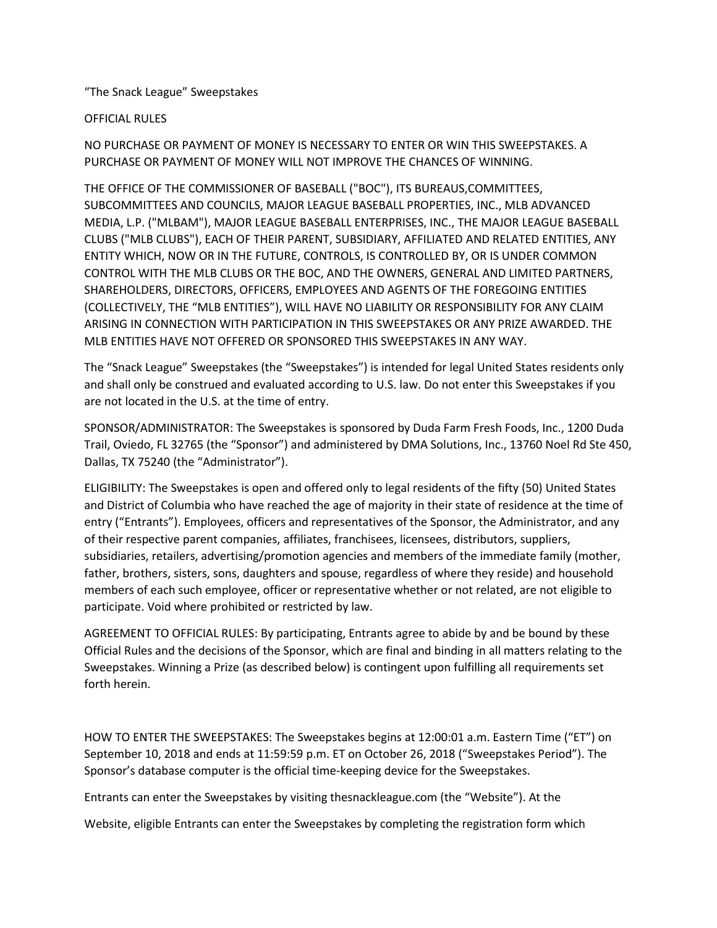## "The Snack League" Sweepstakes

## OFFICIAL RULES

NO PURCHASE OR PAYMENT OF MONEY IS NECESSARY TO ENTER OR WIN THIS SWEEPSTAKES. A PURCHASE OR PAYMENT OF MONEY WILL NOT IMPROVE THE CHANCES OF WINNING.

THE OFFICE OF THE COMMISSIONER OF BASEBALL ("BOC"), ITS BUREAUS,COMMITTEES, SUBCOMMITTEES AND COUNCILS, MAJOR LEAGUE BASEBALL PROPERTIES, INC., MLB ADVANCED MEDIA, L.P. ("MLBAM"), MAJOR LEAGUE BASEBALL ENTERPRISES, INC., THE MAJOR LEAGUE BASEBALL CLUBS ("MLB CLUBS"), EACH OF THEIR PARENT, SUBSIDIARY, AFFILIATED AND RELATED ENTITIES, ANY ENTITY WHICH, NOW OR IN THE FUTURE, CONTROLS, IS CONTROLLED BY, OR IS UNDER COMMON CONTROL WITH THE MLB CLUBS OR THE BOC, AND THE OWNERS, GENERAL AND LIMITED PARTNERS, SHAREHOLDERS, DIRECTORS, OFFICERS, EMPLOYEES AND AGENTS OF THE FOREGOING ENTITIES (COLLECTIVELY, THE "MLB ENTITIES"), WILL HAVE NO LIABILITY OR RESPONSIBILITY FOR ANY CLAIM ARISING IN CONNECTION WITH PARTICIPATION IN THIS SWEEPSTAKES OR ANY PRIZE AWARDED. THE MLB ENTITIES HAVE NOT OFFERED OR SPONSORED THIS SWEEPSTAKES IN ANY WAY.

The "Snack League" Sweepstakes (the "Sweepstakes") is intended for legal United States residents only and shall only be construed and evaluated according to U.S. law. Do not enter this Sweepstakes if you are not located in the U.S. at the time of entry.

SPONSOR/ADMINISTRATOR: The Sweepstakes is sponsored by Duda Farm Fresh Foods, Inc., 1200 Duda Trail, Oviedo, FL 32765 (the "Sponsor") and administered by DMA Solutions, Inc., 13760 Noel Rd Ste 450, Dallas, TX 75240 (the "Administrator").

ELIGIBILITY: The Sweepstakes is open and offered only to legal residents of the fifty (50) United States and District of Columbia who have reached the age of majority in their state of residence at the time of entry ("Entrants"). Employees, officers and representatives of the Sponsor, the Administrator, and any of their respective parent companies, affiliates, franchisees, licensees, distributors, suppliers, subsidiaries, retailers, advertising/promotion agencies and members of the immediate family (mother, father, brothers, sisters, sons, daughters and spouse, regardless of where they reside) and household members of each such employee, officer or representative whether or not related, are not eligible to participate. Void where prohibited or restricted by law.

AGREEMENT TO OFFICIAL RULES: By participating, Entrants agree to abide by and be bound by these Official Rules and the decisions of the Sponsor, which are final and binding in all matters relating to the Sweepstakes. Winning a Prize (as described below) is contingent upon fulfilling all requirements set forth herein.

HOW TO ENTER THE SWEEPSTAKES: The Sweepstakes begins at 12:00:01 a.m. Eastern Time ("ET") on September 10, 2018 and ends at 11:59:59 p.m. ET on October 26, 2018 ("Sweepstakes Period"). The Sponsor's database computer is the official time-keeping device for the Sweepstakes.

Entrants can enter the Sweepstakes by visiting thesnackleague.com (the "Website"). At the

Website, eligible Entrants can enter the Sweepstakes by completing the registration form which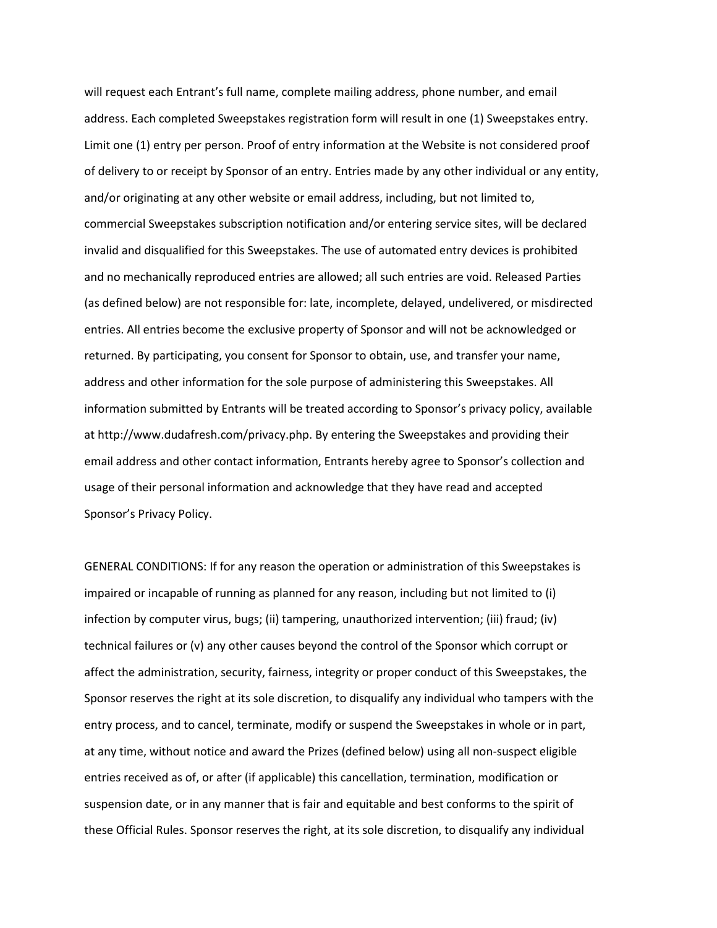will request each Entrant's full name, complete mailing address, phone number, and email address. Each completed Sweepstakes registration form will result in one (1) Sweepstakes entry. Limit one (1) entry per person. Proof of entry information at the Website is not considered proof of delivery to or receipt by Sponsor of an entry. Entries made by any other individual or any entity, and/or originating at any other website or email address, including, but not limited to, commercial Sweepstakes subscription notification and/or entering service sites, will be declared invalid and disqualified for this Sweepstakes. The use of automated entry devices is prohibited and no mechanically reproduced entries are allowed; all such entries are void. Released Parties (as defined below) are not responsible for: late, incomplete, delayed, undelivered, or misdirected entries. All entries become the exclusive property of Sponsor and will not be acknowledged or returned. By participating, you consent for Sponsor to obtain, use, and transfer your name, address and other information for the sole purpose of administering this Sweepstakes. All information submitted by Entrants will be treated according to Sponsor's privacy policy, available at http://www.dudafresh.com/privacy.php. By entering the Sweepstakes and providing their email address and other contact information, Entrants hereby agree to Sponsor's collection and usage of their personal information and acknowledge that they have read and accepted Sponsor's Privacy Policy.

GENERAL CONDITIONS: If for any reason the operation or administration of this Sweepstakes is impaired or incapable of running as planned for any reason, including but not limited to (i) infection by computer virus, bugs; (ii) tampering, unauthorized intervention; (iii) fraud; (iv) technical failures or (v) any other causes beyond the control of the Sponsor which corrupt or affect the administration, security, fairness, integrity or proper conduct of this Sweepstakes, the Sponsor reserves the right at its sole discretion, to disqualify any individual who tampers with the entry process, and to cancel, terminate, modify or suspend the Sweepstakes in whole or in part, at any time, without notice and award the Prizes (defined below) using all non-suspect eligible entries received as of, or after (if applicable) this cancellation, termination, modification or suspension date, or in any manner that is fair and equitable and best conforms to the spirit of these Official Rules. Sponsor reserves the right, at its sole discretion, to disqualify any individual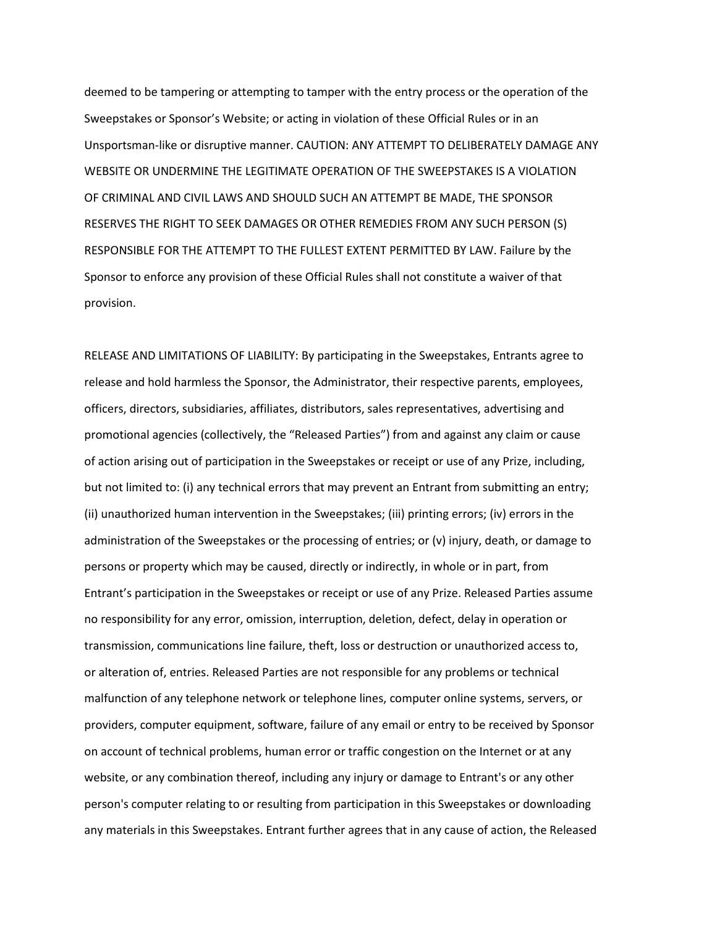deemed to be tampering or attempting to tamper with the entry process or the operation of the Sweepstakes or Sponsor's Website; or acting in violation of these Official Rules or in an Unsportsman-like or disruptive manner. CAUTION: ANY ATTEMPT TO DELIBERATELY DAMAGE ANY WEBSITE OR UNDERMINE THE LEGITIMATE OPERATION OF THE SWEEPSTAKES IS A VIOLATION OF CRIMINAL AND CIVIL LAWS AND SHOULD SUCH AN ATTEMPT BE MADE, THE SPONSOR RESERVES THE RIGHT TO SEEK DAMAGES OR OTHER REMEDIES FROM ANY SUCH PERSON (S) RESPONSIBLE FOR THE ATTEMPT TO THE FULLEST EXTENT PERMITTED BY LAW. Failure by the Sponsor to enforce any provision of these Official Rules shall not constitute a waiver of that provision.

RELEASE AND LIMITATIONS OF LIABILITY: By participating in the Sweepstakes, Entrants agree to release and hold harmless the Sponsor, the Administrator, their respective parents, employees, officers, directors, subsidiaries, affiliates, distributors, sales representatives, advertising and promotional agencies (collectively, the "Released Parties") from and against any claim or cause of action arising out of participation in the Sweepstakes or receipt or use of any Prize, including, but not limited to: (i) any technical errors that may prevent an Entrant from submitting an entry; (ii) unauthorized human intervention in the Sweepstakes; (iii) printing errors; (iv) errors in the administration of the Sweepstakes or the processing of entries; or (v) injury, death, or damage to persons or property which may be caused, directly or indirectly, in whole or in part, from Entrant's participation in the Sweepstakes or receipt or use of any Prize. Released Parties assume no responsibility for any error, omission, interruption, deletion, defect, delay in operation or transmission, communications line failure, theft, loss or destruction or unauthorized access to, or alteration of, entries. Released Parties are not responsible for any problems or technical malfunction of any telephone network or telephone lines, computer online systems, servers, or providers, computer equipment, software, failure of any email or entry to be received by Sponsor on account of technical problems, human error or traffic congestion on the Internet or at any website, or any combination thereof, including any injury or damage to Entrant's or any other person's computer relating to or resulting from participation in this Sweepstakes or downloading any materials in this Sweepstakes. Entrant further agrees that in any cause of action, the Released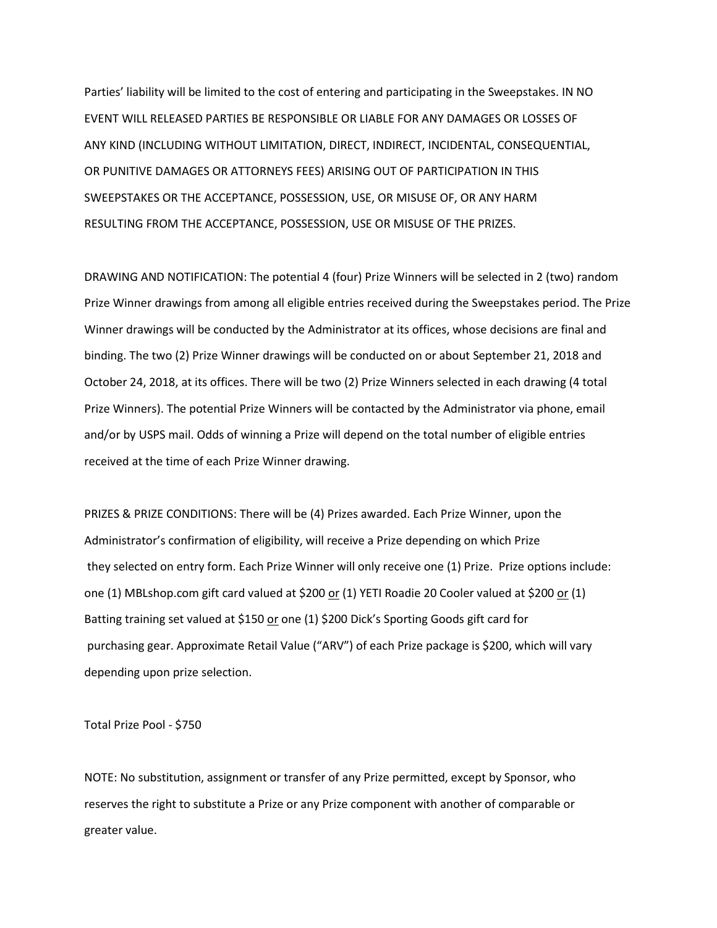Parties' liability will be limited to the cost of entering and participating in the Sweepstakes. IN NO EVENT WILL RELEASED PARTIES BE RESPONSIBLE OR LIABLE FOR ANY DAMAGES OR LOSSES OF ANY KIND (INCLUDING WITHOUT LIMITATION, DIRECT, INDIRECT, INCIDENTAL, CONSEQUENTIAL, OR PUNITIVE DAMAGES OR ATTORNEYS FEES) ARISING OUT OF PARTICIPATION IN THIS SWEEPSTAKES OR THE ACCEPTANCE, POSSESSION, USE, OR MISUSE OF, OR ANY HARM RESULTING FROM THE ACCEPTANCE, POSSESSION, USE OR MISUSE OF THE PRIZES.

DRAWING AND NOTIFICATION: The potential 4 (four) Prize Winners will be selected in 2 (two) random Prize Winner drawings from among all eligible entries received during the Sweepstakes period. The Prize Winner drawings will be conducted by the Administrator at its offices, whose decisions are final and binding. The two (2) Prize Winner drawings will be conducted on or about September 21, 2018 and October 24, 2018, at its offices. There will be two (2) Prize Winners selected in each drawing (4 total Prize Winners). The potential Prize Winners will be contacted by the Administrator via phone, email and/or by USPS mail. Odds of winning a Prize will depend on the total number of eligible entries received at the time of each Prize Winner drawing.

PRIZES & PRIZE CONDITIONS: There will be (4) Prizes awarded. Each Prize Winner, upon the Administrator's confirmation of eligibility, will receive a Prize depending on which Prize they selected on entry form. Each Prize Winner will only receive one (1) Prize. Prize options include: one (1) MBLshop.com gift card valued at \$200 or (1) YETI Roadie 20 Cooler valued at \$200 or (1) Batting training set valued at \$150 or one (1) \$200 Dick's Sporting Goods gift card for purchasing gear. Approximate Retail Value ("ARV") of each Prize package is \$200, which will vary depending upon prize selection.

Total Prize Pool - \$750

NOTE: No substitution, assignment or transfer of any Prize permitted, except by Sponsor, who reserves the right to substitute a Prize or any Prize component with another of comparable or greater value.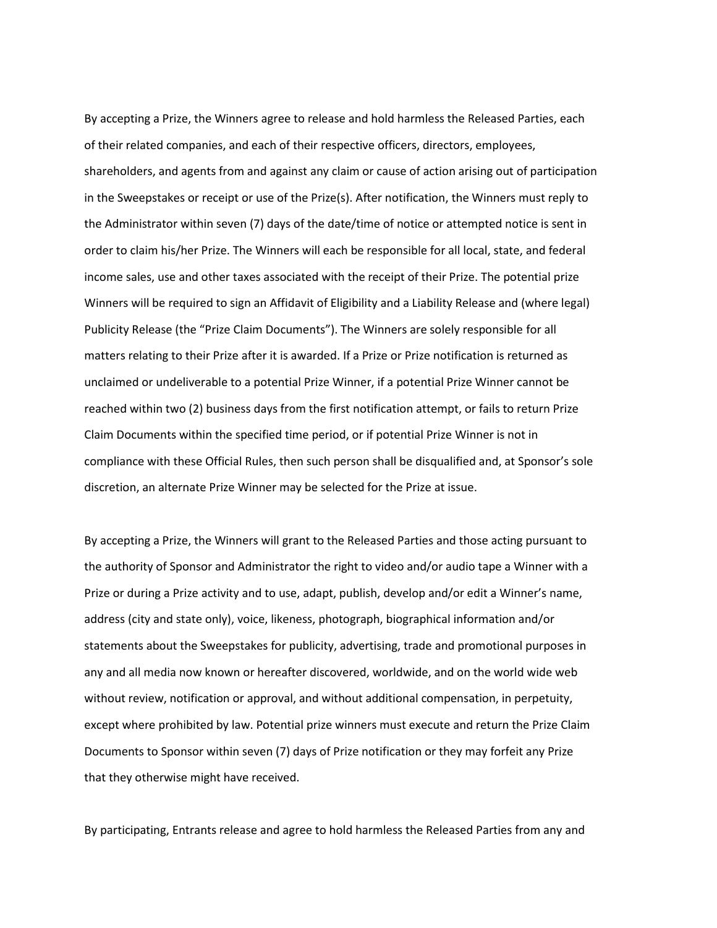By accepting a Prize, the Winners agree to release and hold harmless the Released Parties, each of their related companies, and each of their respective officers, directors, employees, shareholders, and agents from and against any claim or cause of action arising out of participation in the Sweepstakes or receipt or use of the Prize(s). After notification, the Winners must reply to the Administrator within seven (7) days of the date/time of notice or attempted notice is sent in order to claim his/her Prize. The Winners will each be responsible for all local, state, and federal income sales, use and other taxes associated with the receipt of their Prize. The potential prize Winners will be required to sign an Affidavit of Eligibility and a Liability Release and (where legal) Publicity Release (the "Prize Claim Documents"). The Winners are solely responsible for all matters relating to their Prize after it is awarded. If a Prize or Prize notification is returned as unclaimed or undeliverable to a potential Prize Winner, if a potential Prize Winner cannot be reached within two (2) business days from the first notification attempt, or fails to return Prize Claim Documents within the specified time period, or if potential Prize Winner is not in compliance with these Official Rules, then such person shall be disqualified and, at Sponsor's sole discretion, an alternate Prize Winner may be selected for the Prize at issue.

By accepting a Prize, the Winners will grant to the Released Parties and those acting pursuant to the authority of Sponsor and Administrator the right to video and/or audio tape a Winner with a Prize or during a Prize activity and to use, adapt, publish, develop and/or edit a Winner's name, address (city and state only), voice, likeness, photograph, biographical information and/or statements about the Sweepstakes for publicity, advertising, trade and promotional purposes in any and all media now known or hereafter discovered, worldwide, and on the world wide web without review, notification or approval, and without additional compensation, in perpetuity, except where prohibited by law. Potential prize winners must execute and return the Prize Claim Documents to Sponsor within seven (7) days of Prize notification or they may forfeit any Prize that they otherwise might have received.

By participating, Entrants release and agree to hold harmless the Released Parties from any and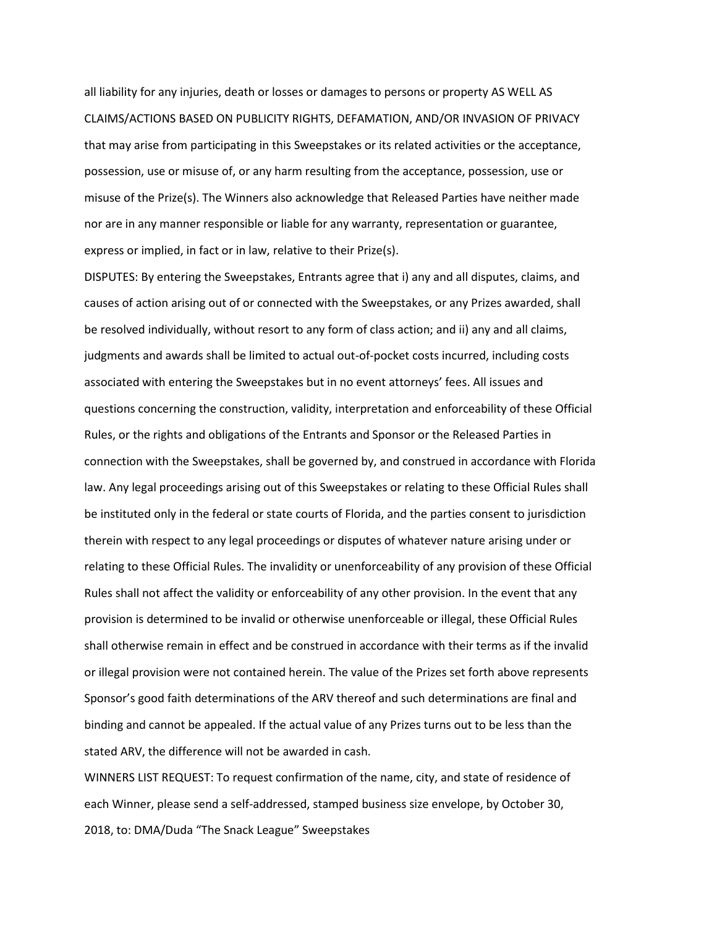all liability for any injuries, death or losses or damages to persons or property AS WELL AS CLAIMS/ACTIONS BASED ON PUBLICITY RIGHTS, DEFAMATION, AND/OR INVASION OF PRIVACY that may arise from participating in this Sweepstakes or its related activities or the acceptance, possession, use or misuse of, or any harm resulting from the acceptance, possession, use or misuse of the Prize(s). The Winners also acknowledge that Released Parties have neither made nor are in any manner responsible or liable for any warranty, representation or guarantee, express or implied, in fact or in law, relative to their Prize(s).

DISPUTES: By entering the Sweepstakes, Entrants agree that i) any and all disputes, claims, and causes of action arising out of or connected with the Sweepstakes, or any Prizes awarded, shall be resolved individually, without resort to any form of class action; and ii) any and all claims, judgments and awards shall be limited to actual out-of-pocket costs incurred, including costs associated with entering the Sweepstakes but in no event attorneys' fees. All issues and questions concerning the construction, validity, interpretation and enforceability of these Official Rules, or the rights and obligations of the Entrants and Sponsor or the Released Parties in connection with the Sweepstakes, shall be governed by, and construed in accordance with Florida law. Any legal proceedings arising out of this Sweepstakes or relating to these Official Rules shall be instituted only in the federal or state courts of Florida, and the parties consent to jurisdiction therein with respect to any legal proceedings or disputes of whatever nature arising under or relating to these Official Rules. The invalidity or unenforceability of any provision of these Official Rules shall not affect the validity or enforceability of any other provision. In the event that any provision is determined to be invalid or otherwise unenforceable or illegal, these Official Rules shall otherwise remain in effect and be construed in accordance with their terms as if the invalid or illegal provision were not contained herein. The value of the Prizes set forth above represents Sponsor's good faith determinations of the ARV thereof and such determinations are final and binding and cannot be appealed. If the actual value of any Prizes turns out to be less than the stated ARV, the difference will not be awarded in cash.

WINNERS LIST REQUEST: To request confirmation of the name, city, and state of residence of each Winner, please send a self-addressed, stamped business size envelope, by October 30, 2018, to: DMA/Duda "The Snack League" Sweepstakes